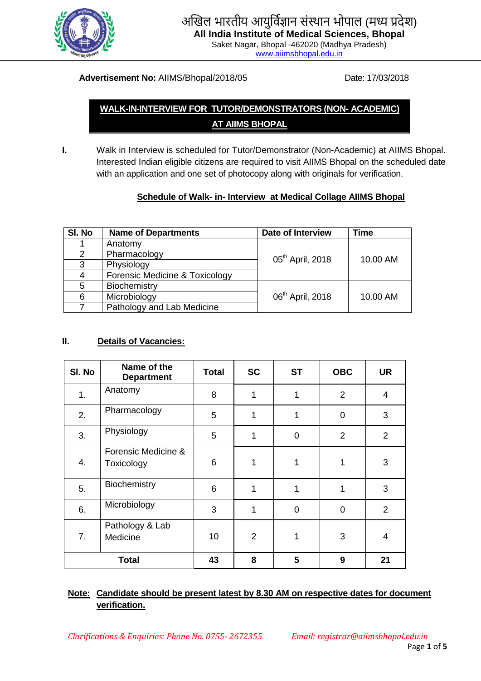

# अखिल भारतीय आयुर्विज्ञान संस्थान भोपाल (मध्य प्रदेश)

**All India Institute of Medical Sciences, Bhopal** Saket Nagar, Bhopal -462020 (Madhya Pradesh)

[www.aiimsbhopal.edu.in](http://www.aiimsbhopal.edu.in/)

#### **Advertisement No:** AIIMS/Bhopal/2018/05 Date: 17/03/2018

## **WALK-IN-INTERVIEW FOR TUTOR/DEMONSTRATORS (NON- ACADEMIC) AT AIIMS BHOPAL**

**I.** Walk in Interview is scheduled for Tutor/Demonstrator (Non-Academic) at AIIMS Bhopal. Interested Indian eligible citizens are required to visit AIIMS Bhopal on the scheduled date with an application and one set of photocopy along with originals for verification.

### **Schedule of Walk- in- Interview at Medical Collage AIIMS Bhopal**

| SI. No | <b>Name of Departments</b>     | <b>Date of Interview</b>     | Time     |  |
|--------|--------------------------------|------------------------------|----------|--|
|        | Anatomy                        |                              |          |  |
| 2      | Pharmacology                   | 05 <sup>th</sup> April, 2018 | 10.00 AM |  |
| 3      | Physiology                     |                              |          |  |
| 4      | Forensic Medicine & Toxicology |                              |          |  |
| 5      | Biochemistry                   |                              |          |  |
| 6      | Microbiology                   | 06 <sup>th</sup> April, 2018 | 10.00 AM |  |
|        | Pathology and Lab Medicine     |                              |          |  |

#### **II. Details of Vacancies:**

| SI. No       | Name of the<br><b>Department</b>  | <b>Total</b>    | <b>SC</b>      | <b>ST</b>      | <b>OBC</b>     | <b>UR</b>      |
|--------------|-----------------------------------|-----------------|----------------|----------------|----------------|----------------|
| 1.           | Anatomy                           | 8               | 1              | 1              | $\overline{2}$ | $\overline{4}$ |
| 2.           | Pharmacology                      | 5               | 1              | 1              | $\overline{0}$ | 3              |
| 3.           | Physiology                        | 5               | 1              | $\overline{0}$ | $\overline{2}$ | $\overline{2}$ |
| 4.           | Forensic Medicine &<br>Toxicology | 6               | 1              | 1              | $\mathbf 1$    | 3              |
| 5.           | Biochemistry                      | $6\phantom{1}6$ | 1              | 1              | 1              | 3              |
| 6.           | Microbiology                      | 3               | 1              | $\overline{0}$ | $\overline{0}$ | 2              |
| 7.           | Pathology & Lab<br>Medicine       | 10              | $\overline{2}$ | 1              | 3              | 4              |
| <b>Total</b> |                                   | 43              | 8              | 5              | 9              | 21             |

#### **Note: Candidate should be present latest by 8.30 AM on respective dates for document verification.**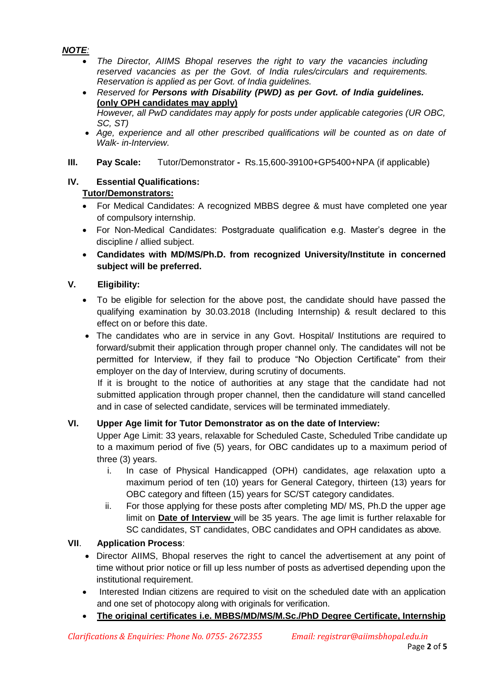*NOTE:*

- *The Director, AIIMS Bhopal reserves the right to vary the vacancies including reserved vacancies as per the Govt. of India rules/circulars and requirements. Reservation is applied as per Govt. of India guidelines.*
- *Reserved for Persons with Disability (PWD) as per Govt. of India guidelines.*  **(only OPH candidates may apply)** *However, all PwD candidates may apply for posts under applicable categories (UR OBC, SC, ST)*
- *Age, experience and all other prescribed qualifications will be counted as on date of Walk- in-Interview.*

#### **III. Pay Scale:** Tutor/Demonstrator **-** Rs.15,600-39100+GP5400+NPA (if applicable)

#### **IV. Essential Qualifications: Tutor/Demonstrators:**

- For Medical Candidates: A recognized MBBS degree & must have completed one year of compulsory internship.
- For Non-Medical Candidates: Postgraduate qualification e.g. Master's degree in the discipline / allied subject.
- **Candidates with MD/MS/Ph.D. from recognized University/Institute in concerned subject will be preferred.**

#### **V. Eligibility:**

- To be eligible for selection for the above post, the candidate should have passed the qualifying examination by 30.03.2018 (Including Internship) & result declared to this effect on or before this date.
- The candidates who are in service in any Govt. Hospital/ Institutions are required to forward/submit their application through proper channel only. The candidates will not be permitted for Interview, if they fail to produce "No Objection Certificate" from their employer on the day of Interview, during scrutiny of documents.

If it is brought to the notice of authorities at any stage that the candidate had not submitted application through proper channel, then the candidature will stand cancelled and in case of selected candidate, services will be terminated immediately.

#### **VI. Upper Age limit for Tutor Demonstrator as on the date of Interview:**

Upper Age Limit: 33 years, relaxable for Scheduled Caste, Scheduled Tribe candidate up to a maximum period of five (5) years, for OBC candidates up to a maximum period of three (3) years.

- i. In case of Physical Handicapped (OPH) candidates, age relaxation upto a maximum period of ten (10) years for General Category, thirteen (13) years for OBC category and fifteen (15) years for SC/ST category candidates.
- ii. For those applying for these posts after completing MD/ MS, Ph.D the upper age limit on **Date of Interview** will be 35 years. The age limit is further relaxable for SC candidates, ST candidates, OBC candidates and OPH candidates as above.

#### **VII**. **Application Process**:

- Director AIIMS, Bhopal reserves the right to cancel the advertisement at any point of time without prior notice or fill up less number of posts as advertised depending upon the institutional requirement.
- Interested Indian citizens are required to visit on the scheduled date with an application and one set of photocopy along with originals for verification.
- **The original certificates i.e. MBBS/MD/MS/M.Sc./PhD Degree Certificate, Internship**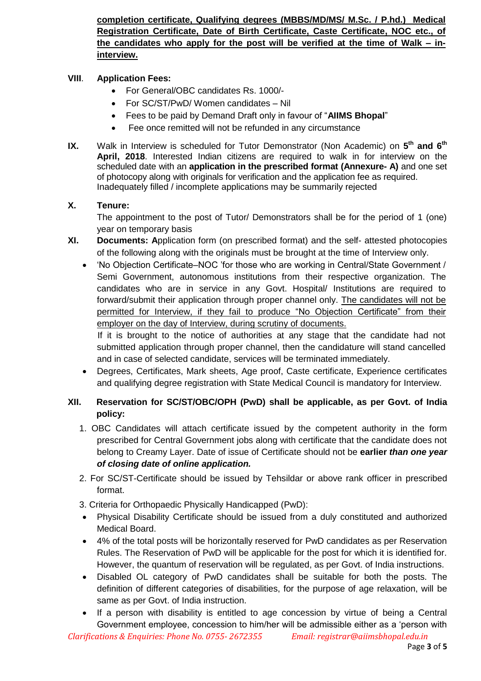**completion certificate, Qualifying degrees (MBBS/MD/MS/ M.Sc. / P.hd.) Medical Registration Certificate, Date of Birth Certificate, Caste Certificate, NOC etc., of the candidates who apply for the post will be verified at the time of Walk – ininterview.**

#### **VIII**. **Application Fees:**

- For General/OBC candidates Rs. 1000/-
- For SC/ST/PwD/ Women candidates Nil
- Fees to be paid by Demand Draft only in favour of "**AIIMS Bhopal**"
- Fee once remitted will not be refunded in any circumstance
- **IX.** Walk in Interview is scheduled for Tutor Demonstrator (Non Academic) on 5<sup>th</sup> and 6<sup>th</sup> **April, 2018**. Interested Indian citizens are required to walk in for interview on the scheduled date with an **application in the prescribed format (Annexure- A)** and one set of photocopy along with originals for verification and the application fee as required. Inadequately filled / incomplete applications may be summarily rejected

#### **X. Tenure:**

The appointment to the post of Tutor/ Demonstrators shall be for the period of 1 (one) year on temporary basis

- **XI. Documents: A**pplication form (on prescribed format) and the self- attested photocopies of the following along with the originals must be brought at the time of Interview only.
	- "No Objection Certificate–NOC "for those who are working in Central/State Government / Semi Government, autonomous institutions from their respective organization. The candidates who are in service in any Govt. Hospital/ Institutions are required to forward/submit their application through proper channel only. The candidates will not be permitted for Interview, if they fail to produce "No Objection Certificate" from their employer on the day of Interview, during scrutiny of documents.

If it is brought to the notice of authorities at any stage that the candidate had not submitted application through proper channel, then the candidature will stand cancelled and in case of selected candidate, services will be terminated immediately.

 Degrees, Certificates, Mark sheets, Age proof, Caste certificate, Experience certificates and qualifying degree registration with State Medical Council is mandatory for Interview.

#### **XII. Reservation for SC/ST/OBC/OPH (PwD) shall be applicable, as per Govt. of India policy:**

- 1. OBC Candidates will attach certificate issued by the competent authority in the form prescribed for Central Government jobs along with certificate that the candidate does not belong to Creamy Layer. Date of issue of Certificate should not be **earlier** *than one year of closing date of online application.*
- 2. For SC/ST-Certificate should be issued by Tehsildar or above rank officer in prescribed format.
- 3. Criteria for Orthopaedic Physically Handicapped (PwD):
- Physical Disability Certificate should be issued from a duly constituted and authorized Medical Board.
- 4% of the total posts will be horizontally reserved for PwD candidates as per Reservation Rules. The Reservation of PwD will be applicable for the post for which it is identified for. However, the quantum of reservation will be regulated, as per Govt. of India instructions.
- Disabled OL category of PwD candidates shall be suitable for both the posts. The definition of different categories of disabilities, for the purpose of age relaxation, will be same as per Govt. of India instruction.
- If a person with disability is entitled to age concession by virtue of being a Central Government employee, concession to him/her will be admissible either as a "person with

*Clarifications & Enquiries: Phone No. 0755- 2672355 Email: registrar@aiimsbhopal.edu.in*